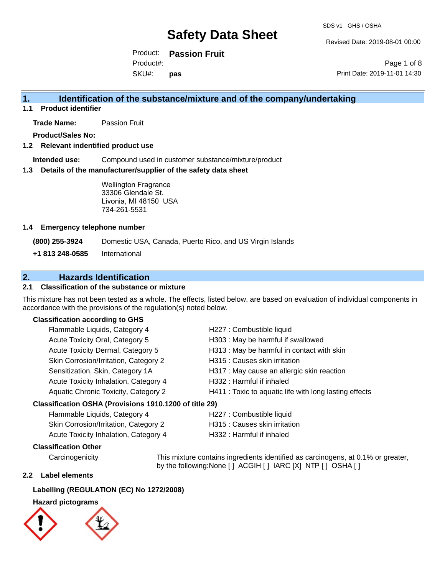Revised Date: 2019-08-01 00:00

Product: **Passion Fruit** SKU#: Product#: **pas**

Page 1 of 8 Print Date: 2019-11-01 14:30

## **1. Identification of the substance/mixture and of the company/undertaking**

**1.1 Product identifier**

**Trade Name:** Passion Fruit

**Product/Sales No:**

#### **1.2 Relevant indentified product use**

**Intended use:** Compound used in customer substance/mixture/product

#### **1.3 Details of the manufacturer/supplier of the safety data sheet**

Wellington Fragrance 33306 Glendale St. Livonia, MI 48150 USA 734-261-5531

#### **1.4 Emergency telephone number**

**(800) 255-3924** Domestic USA, Canada, Puerto Rico, and US Virgin Islands

**+1 813 248-0585** International

### **2. Hazards Identification**

### **2.1 Classification of the substance or mixture**

This mixture has not been tested as a whole. The effects, listed below, are based on evaluation of individual components in accordance with the provisions of the regulation(s) noted below.

#### **Classification according to GHS**

| Flammable Liquids, Category 4                       | H227 : Combustible liquid                              |
|-----------------------------------------------------|--------------------------------------------------------|
| Acute Toxicity Oral, Category 5                     | H303 : May be harmful if swallowed                     |
| Acute Toxicity Dermal, Category 5                   | H313 : May be harmful in contact with skin             |
| Skin Corrosion/Irritation, Category 2               | H315 : Causes skin irritation                          |
| Sensitization, Skin, Category 1A                    | H317 : May cause an allergic skin reaction             |
| Acute Toxicity Inhalation, Category 4               | H332: Harmful if inhaled                               |
| Aquatic Chronic Toxicity, Category 2                | H411 : Toxic to aquatic life with long lasting effects |
| ssification OSHA (Provisions 1910 1200 of title 29) |                                                        |

#### **Classification OSHA (Provisions 1910.1200 of title 29)**

Flammable Liquids, Category 4 H227 : Combustible liquid Skin Corrosion/Irritation, Category 2 H315 : Causes skin irritation

- 
- Acute Toxicity Inhalation, Category 4 H332 : Harmful if inhaled

#### **Classification Other**

Carcinogenicity This mixture contains ingredients identified as carcinogens, at 0.1% or greater, by the following:None [ ] ACGIH [ ] IARC [X] NTP [ ] OSHA [ ]

#### **2.2 Label elements**

#### **Labelling (REGULATION (EC) No 1272/2008)**

### **Hazard pictograms**

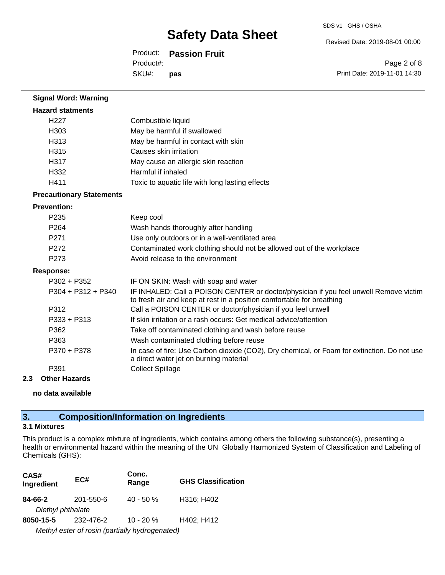Revised Date: 2019-08-01 00:00

Product: **Passion Fruit**

SKU#: Product#: **pas**

Page 2 of 8 Print Date: 2019-11-01 14:30

| <b>Signal Word: Warning</b>     |                                                                                                                                                                |
|---------------------------------|----------------------------------------------------------------------------------------------------------------------------------------------------------------|
| <b>Hazard statments</b>         |                                                                                                                                                                |
| H <sub>227</sub>                | Combustible liquid                                                                                                                                             |
| H303                            | May be harmful if swallowed                                                                                                                                    |
| H313                            | May be harmful in contact with skin                                                                                                                            |
| H315                            | Causes skin irritation                                                                                                                                         |
| H317                            | May cause an allergic skin reaction                                                                                                                            |
| H332                            | Harmful if inhaled                                                                                                                                             |
| H411                            | Toxic to aquatic life with long lasting effects                                                                                                                |
| <b>Precautionary Statements</b> |                                                                                                                                                                |
| <b>Prevention:</b>              |                                                                                                                                                                |
| P235                            | Keep cool                                                                                                                                                      |
| P264                            | Wash hands thoroughly after handling                                                                                                                           |
| P271                            | Use only outdoors or in a well-ventilated area                                                                                                                 |
| P <sub>272</sub>                | Contaminated work clothing should not be allowed out of the workplace                                                                                          |
| P273                            | Avoid release to the environment                                                                                                                               |
| <b>Response:</b>                |                                                                                                                                                                |
| $P302 + P352$                   | IF ON SKIN: Wash with soap and water                                                                                                                           |
| P304 + P312 + P340              | IF INHALED: Call a POISON CENTER or doctor/physician if you feel unwell Remove victim<br>to fresh air and keep at rest in a position comfortable for breathing |
| P312                            | Call a POISON CENTER or doctor/physician if you feel unwell                                                                                                    |
| P333 + P313                     | If skin irritation or a rash occurs: Get medical advice/attention                                                                                              |
| P362                            | Take off contaminated clothing and wash before reuse                                                                                                           |
| P363                            | Wash contaminated clothing before reuse                                                                                                                        |
| P370 + P378                     | In case of fire: Use Carbon dioxide (CO2), Dry chemical, or Foam for extinction. Do not use<br>a direct water jet on burning material                          |
| P391                            | <b>Collect Spillage</b>                                                                                                                                        |
| 2.3<br><b>Other Hazards</b>     |                                                                                                                                                                |

**no data available**

## **3. Composition/Information on Ingredients**

#### **3.1 Mixtures**

This product is a complex mixture of ingredients, which contains among others the following substance(s), presenting a health or environmental hazard within the meaning of the UN Globally Harmonized System of Classification and Labeling of Chemicals (GHS):

| CAS#<br>Ingredient                             | EC#       | Conc.<br>Range | <b>GHS Classification</b> |
|------------------------------------------------|-----------|----------------|---------------------------|
| 84-66-2                                        | 201-550-6 | $40 - 50 \%$   | H316; H402                |
| Diethyl phthalate                              |           |                |                           |
| 8050-15-5                                      | 232-476-2 | 10 - 20 %      | H402; H412                |
| Methyl ester of rosin (partially hydrogenated) |           |                |                           |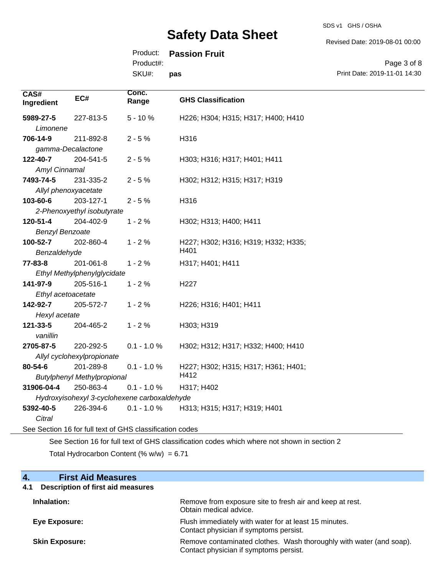SDS v1 GHS / OSHA

Revised Date: 2019-08-01 00:00

## Product: **Passion Fruit**

Product#:

SKU#: **pas**

| Page 3 of 8                  |  |
|------------------------------|--|
| Print Date: 2019-11-01 14:30 |  |

| CAS#<br>Ingredient                                       | EC#                                | Conc.<br>Range                               | <b>GHS Classification</b>           |
|----------------------------------------------------------|------------------------------------|----------------------------------------------|-------------------------------------|
| 5989-27-5                                                | 227-813-5                          | $5 - 10%$                                    | H226; H304; H315; H317; H400; H410  |
| Limonene                                                 |                                    |                                              |                                     |
| 706-14-9                                                 | 211-892-8                          | $2 - 5%$                                     | H316                                |
| gamma-Decalactone                                        |                                    |                                              |                                     |
| 122-40-7                                                 | 204-541-5                          | $2 - 5%$                                     | H303; H316; H317; H401; H411        |
| Amyl Cinnamal                                            |                                    |                                              |                                     |
| 7493-74-5                                                | 231-335-2                          | $2 - 5%$                                     | H302; H312; H315; H317; H319        |
| Allyl phenoxyacetate                                     |                                    |                                              |                                     |
| 103-60-6                                                 | 203-127-1                          | $2 - 5%$                                     | H316                                |
|                                                          | 2-Phenoxyethyl isobutyrate         |                                              |                                     |
| 120-51-4                                                 | 204-402-9                          | $1 - 2%$                                     | H302; H313; H400; H411              |
| <b>Benzyl Benzoate</b>                                   |                                    |                                              |                                     |
| 100-52-7                                                 | 202-860-4                          | $1 - 2%$                                     | H227; H302; H316; H319; H332; H335; |
| Benzaldehyde                                             |                                    |                                              | H401                                |
| $77 - 83 - 8$                                            | 201-061-8                          | $1 - 2%$                                     | H317; H401; H411                    |
|                                                          | Ethyl Methylphenylglycidate        |                                              |                                     |
| 141-97-9                                                 | 205-516-1                          | $1 - 2%$                                     | H <sub>227</sub>                    |
| Ethyl acetoacetate                                       |                                    |                                              |                                     |
| 142-92-7                                                 | 205-572-7                          | $1 - 2%$                                     | H226; H316; H401; H411              |
| Hexyl acetate                                            |                                    |                                              |                                     |
| 121-33-5                                                 | 204-465-2                          | $1 - 2%$                                     | H303; H319                          |
| vanillin                                                 |                                    |                                              |                                     |
| 2705-87-5                                                | 220-292-5                          | $0.1 - 1.0 %$                                | H302; H312; H317; H332; H400; H410  |
|                                                          | Allyl cyclohexylpropionate         |                                              |                                     |
| 80-54-6                                                  | 201-289-8                          | $0.1 - 1.0 %$                                | H227; H302; H315; H317; H361; H401; |
|                                                          | <b>Butylphenyl Methylpropional</b> |                                              | H412                                |
| 31906-04-4                                               | 250-863-4                          | $0.1 - 1.0 %$                                | H317; H402                          |
|                                                          |                                    | Hydroxyisohexyl 3-cyclohexene carboxaldehyde |                                     |
| 5392-40-5                                                | 226-394-6                          | $0.1 - 1.0 %$                                | H313; H315; H317; H319; H401        |
| Citral                                                   |                                    |                                              |                                     |
| See Section 16 for full text of GHS classification codes |                                    |                                              |                                     |

See Section 16 for full text of GHS classification codes which where not shown in section 2

Total Hydrocarbon Content  $(% \mathcal{O}_{N})$  = 6.71

| 4.<br><b>First Aid Measures</b>                 |                                                                                                               |
|-------------------------------------------------|---------------------------------------------------------------------------------------------------------------|
| <b>Description of first aid measures</b><br>4.1 |                                                                                                               |
| Inhalation:                                     | Remove from exposure site to fresh air and keep at rest.<br>Obtain medical advice.                            |
| <b>Eye Exposure:</b>                            | Flush immediately with water for at least 15 minutes.<br>Contact physician if symptoms persist.               |
| <b>Skin Exposure:</b>                           | Remove contaminated clothes. Wash thoroughly with water (and soap).<br>Contact physician if symptoms persist. |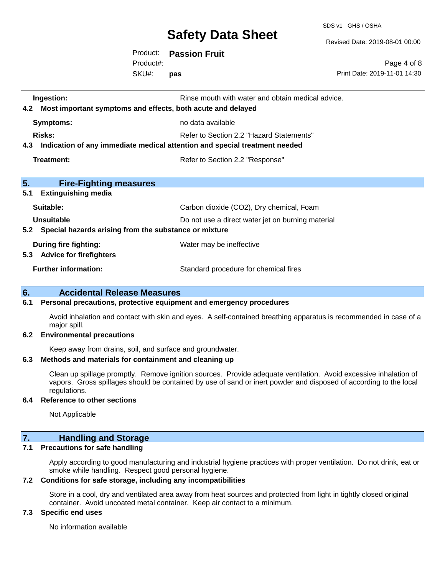SDS v1 GHS / OSHA

Revised Date: 2019-08-01 00:00

| Product:  | <b>Passion Fruit</b> |
|-----------|----------------------|
| Product#: |                      |
| SKU#:     | pas                  |

Page 4 of 8 Print Date: 2019-11-01 14:30

| Ingestion:<br>Most important symptoms and effects, both acute and delayed<br>4.2  | Rinse mouth with water and obtain medical advice. |  |
|-----------------------------------------------------------------------------------|---------------------------------------------------|--|
| <b>Symptoms:</b>                                                                  | no data available                                 |  |
| <b>Risks:</b>                                                                     | Refer to Section 2.2 "Hazard Statements"          |  |
| Indication of any immediate medical attention and special treatment needed<br>4.3 |                                                   |  |
| Treatment:                                                                        | Refer to Section 2.2 "Response"                   |  |
|                                                                                   |                                                   |  |
| 5.<br><b>Fire-Fighting measures</b><br>5.1<br><b>Extinguishing media</b>          |                                                   |  |
| Suitable:                                                                         | Carbon dioxide (CO2), Dry chemical, Foam          |  |
| Unsuitable                                                                        | Do not use a direct water jet on burning material |  |
| 5.2 Special hazards arising from the substance or mixture                         |                                                   |  |
| During fire fighting:<br>5.3 Advice for firefighters                              | Water may be ineffective                          |  |
| <b>Further information:</b>                                                       | Standard procedure for chemical fires             |  |

#### **6. Accidental Release Measures**

#### **6.1 Personal precautions, protective equipment and emergency procedures**

Avoid inhalation and contact with skin and eyes. A self-contained breathing apparatus is recommended in case of a major spill.

#### **6.2 Environmental precautions**

Keep away from drains, soil, and surface and groundwater.

#### **6.3 Methods and materials for containment and cleaning up**

Clean up spillage promptly. Remove ignition sources. Provide adequate ventilation. Avoid excessive inhalation of vapors. Gross spillages should be contained by use of sand or inert powder and disposed of according to the local regulations.

#### **6.4 Reference to other sections**

Not Applicable

### **7. Handling and Storage**

#### **7.1 Precautions for safe handling**

Apply according to good manufacturing and industrial hygiene practices with proper ventilation. Do not drink, eat or smoke while handling. Respect good personal hygiene.

#### **7.2 Conditions for safe storage, including any incompatibilities**

Store in a cool, dry and ventilated area away from heat sources and protected from light in tightly closed original container. Avoid uncoated metal container. Keep air contact to a minimum.

#### **7.3 Specific end uses**

No information available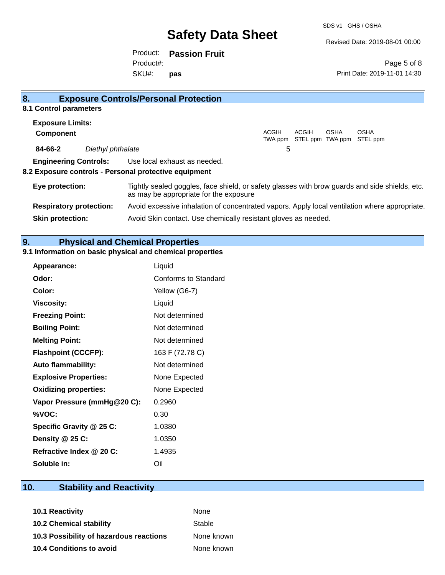Revised Date: 2019-08-01 00:00

Product: **Passion Fruit** SKU#: Product#: **pas**

Page 5 of 8 Print Date: 2019-11-01 14:30

| 8.                      |                                | <b>Exposure Controls/Personal Protection</b>                                                                                             |  |
|-------------------------|--------------------------------|------------------------------------------------------------------------------------------------------------------------------------------|--|
| 8.1 Control parameters  |                                |                                                                                                                                          |  |
| <b>Exposure Limits:</b> |                                |                                                                                                                                          |  |
| <b>Component</b>        |                                | ACGIH<br><b>ACGIH</b><br><b>OSHA</b><br><b>OSHA</b><br>STEL ppm TWA ppm STEL ppm<br>TWA ppm                                              |  |
| 84-66-2                 | Diethyl phthalate              | 5                                                                                                                                        |  |
|                         |                                | <b>Engineering Controls:</b> Use local exhaust as needed.                                                                                |  |
|                         |                                | 8.2 Exposure controls - Personal protective equipment                                                                                    |  |
| Eye protection:         |                                | Tightly sealed goggles, face shield, or safety glasses with brow guards and side shields, etc.<br>as may be appropriate for the exposure |  |
|                         | <b>Respiratory protection:</b> | Avoid excessive inhalation of concentrated vapors. Apply local ventilation where appropriate.                                            |  |
| <b>Skin protection:</b> |                                | Avoid Skin contact. Use chemically resistant gloves as needed.                                                                           |  |

## **9. Physical and Chemical Properties**

### **9.1 Information on basic physical and chemical properties**

| Appearance:                  | Liquid               |
|------------------------------|----------------------|
| Odor:                        | Conforms to Standard |
| Color:                       | Yellow (G6-7)        |
| <b>Viscosity:</b>            | Liquid               |
| <b>Freezing Point:</b>       | Not determined       |
| <b>Boiling Point:</b>        | Not determined       |
| <b>Melting Point:</b>        | Not determined       |
| <b>Flashpoint (CCCFP):</b>   | 163 F (72.78 C)      |
| <b>Auto flammability:</b>    | Not determined       |
| <b>Explosive Properties:</b> | None Expected        |
| <b>Oxidizing properties:</b> | None Expected        |
| Vapor Pressure (mmHg@20 C):  | 0.2960               |
| %VOC:                        | 0.30                 |
| Specific Gravity @ 25 C:     | 1.0380               |
| Density @ 25 C:              | 1.0350               |
| Refractive Index @ 20 C:     | 1.4935               |
| Soluble in:                  | Oil                  |

## **10. Stability and Reactivity**

| 10.1 Reactivity                         | <b>None</b> |
|-----------------------------------------|-------------|
| <b>10.2 Chemical stability</b>          | Stable      |
| 10.3 Possibility of hazardous reactions | None known  |
| <b>10.4 Conditions to avoid</b>         | None known  |
|                                         |             |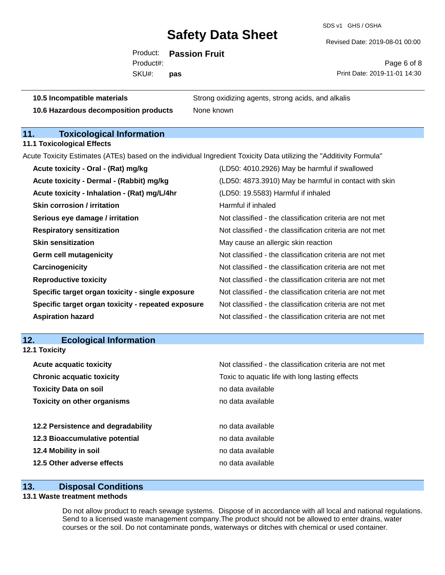SDS v1 GHS / OSHA

Revised Date: 2019-08-01 00:00

Product: **Passion Fruit** SKU#: Product#: **pas**

Page 6 of 8 Print Date: 2019-11-01 14:30

**10.6 Hazardous decomposition products** None known

**10.5 Incompatible materials** Strong oxidizing agents, strong acids, and alkalis

## **11. Toxicological Information**

**11.1 Toxicological Effects**

Acute Toxicity Estimates (ATEs) based on the individual Ingredient Toxicity Data utilizing the "Additivity Formula"

| Acute toxicity - Oral - (Rat) mg/kg                | (LD50: 4010.2926) May be harmful if swallowed            |
|----------------------------------------------------|----------------------------------------------------------|
| Acute toxicity - Dermal - (Rabbit) mg/kg           | (LD50: 4873.3910) May be harmful in contact with skin    |
| Acute toxicity - Inhalation - (Rat) mg/L/4hr       | (LD50: 19.5583) Harmful if inhaled                       |
| <b>Skin corrosion / irritation</b>                 | Harmful if inhaled                                       |
| Serious eye damage / irritation                    | Not classified - the classification criteria are not met |
| <b>Respiratory sensitization</b>                   | Not classified - the classification criteria are not met |
| <b>Skin sensitization</b>                          | May cause an allergic skin reaction                      |
| <b>Germ cell mutagenicity</b>                      | Not classified - the classification criteria are not met |
| Carcinogenicity                                    | Not classified - the classification criteria are not met |
| <b>Reproductive toxicity</b>                       | Not classified - the classification criteria are not met |
| Specific target organ toxicity - single exposure   | Not classified - the classification criteria are not met |
| Specific target organ toxicity - repeated exposure | Not classified - the classification criteria are not met |
| <b>Aspiration hazard</b>                           | Not classified - the classification criteria are not met |

### **12. Ecological Information**

| <b>12.1 Toxicity</b>               |                                                          |  |  |
|------------------------------------|----------------------------------------------------------|--|--|
| <b>Acute acquatic toxicity</b>     | Not classified - the classification criteria are not met |  |  |
| <b>Chronic acquatic toxicity</b>   | Toxic to aquatic life with long lasting effects          |  |  |
| <b>Toxicity Data on soil</b>       | no data available                                        |  |  |
| <b>Toxicity on other organisms</b> | no data available                                        |  |  |
|                                    |                                                          |  |  |
| 12.2 Persistence and degradability | no data available                                        |  |  |
| 12.3 Bioaccumulative potential     | no data available                                        |  |  |
| 12.4 Mobility in soil              | no data available                                        |  |  |
| 12.5 Other adverse effects         | no data available                                        |  |  |

#### **13. Disposal Conditions**

### **13.1 Waste treatment methods**

Do not allow product to reach sewage systems. Dispose of in accordance with all local and national regulations. Send to a licensed waste management company.The product should not be allowed to enter drains, water courses or the soil. Do not contaminate ponds, waterways or ditches with chemical or used container.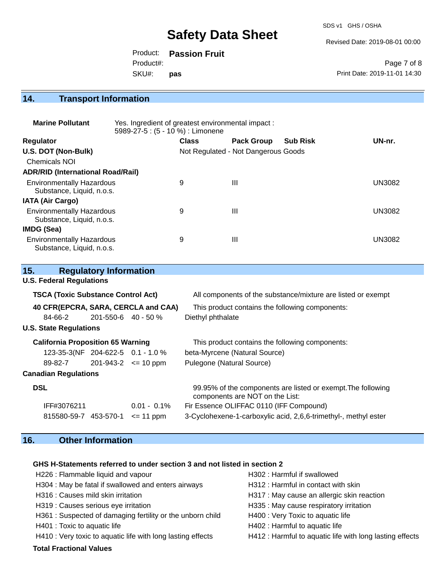SDS v1 GHS / OSHA

Revised Date: 2019-08-01 00:00

Product: **Passion Fruit** SKU#: Product#: **pas**

Page 7 of 8 Print Date: 2019-11-01 14:30

## **14. Transport Information**

| <b>Marine Pollutant</b>                                       | Yes. Ingredient of greatest environmental impact:<br>5989-27-5 : (5 - 10 %) : Limonene |              |                                     |                 |               |
|---------------------------------------------------------------|----------------------------------------------------------------------------------------|--------------|-------------------------------------|-----------------|---------------|
| Regulator                                                     |                                                                                        | <b>Class</b> | <b>Pack Group</b>                   | <b>Sub Risk</b> | UN-nr.        |
| U.S. DOT (Non-Bulk)                                           |                                                                                        |              | Not Regulated - Not Dangerous Goods |                 |               |
| <b>Chemicals NOI</b>                                          |                                                                                        |              |                                     |                 |               |
| <b>ADR/RID (International Road/Rail)</b>                      |                                                                                        |              |                                     |                 |               |
| <b>Environmentally Hazardous</b><br>Substance, Liquid, n.o.s. |                                                                                        | 9            | $\mathbf{III}$                      |                 | <b>UN3082</b> |
| <b>IATA (Air Cargo)</b>                                       |                                                                                        |              |                                     |                 |               |
| <b>Environmentally Hazardous</b><br>Substance, Liquid, n.o.s. |                                                                                        | 9            | $\mathbf{III}$                      |                 | <b>UN3082</b> |
| <b>IMDG (Sea)</b>                                             |                                                                                        |              |                                     |                 |               |
| <b>Environmentally Hazardous</b><br>Substance, Liquid, n.o.s. |                                                                                        | 9            | $\mathbf{III}$                      |                 | UN3082        |

| 15.                                       | <b>Regulatory Information</b> |                |                                                                                                 |
|-------------------------------------------|-------------------------------|----------------|-------------------------------------------------------------------------------------------------|
| <b>U.S. Federal Regulations</b>           |                               |                |                                                                                                 |
| <b>TSCA (Toxic Substance Control Act)</b> |                               |                | All components of the substance/mixture are listed or exempt                                    |
| 40 CFR(EPCRA, SARA, CERCLA and CAA)       |                               |                | This product contains the following components:                                                 |
| 84-66-2                                   | $201 - 550 - 6$ 40 - 50 %     |                | Diethyl phthalate                                                                               |
| <b>U.S. State Regulations</b>             |                               |                |                                                                                                 |
| <b>California Proposition 65 Warning</b>  |                               |                | This product contains the following components:                                                 |
| 123-35-3(NF 204-622-5 0.1 - 1.0 %         |                               |                | beta-Myrcene (Natural Source)                                                                   |
| 89-82-7                                   | $201 - 943 - 2 \leq 10$ ppm   |                | Pulegone (Natural Source)                                                                       |
| <b>Canadian Regulations</b>               |                               |                |                                                                                                 |
| <b>DSL</b>                                |                               |                | 99.95% of the components are listed or exempt. The following<br>components are NOT on the List: |
| IFF#3076211                               |                               | $0.01 - 0.1\%$ | Fir Essence OLIFFAC 0110 (IFF Compound)                                                         |
| 815580-59-7 453-570-1                     |                               | $\leq$ 11 ppm  | 3-Cyclohexene-1-carboxylic acid, 2,6,6-trimethyl-, methyl ester                                 |

## **16. Other Information**

### **GHS H-Statements referred to under section 3 and not listed in section 2**

| <b>Total Fractional Values</b>                              |                                                          |
|-------------------------------------------------------------|----------------------------------------------------------|
| H410 : Very toxic to aquatic life with long lasting effects | H412 : Harmful to aquatic life with long lasting effects |
| H401 : Toxic to aquatic life                                | H402 : Harmful to aquatic life                           |
| H361 : Suspected of damaging fertility or the unborn child  | H400 : Very Toxic to aquatic life                        |
| H319 : Causes serious eye irritation                        | H335 : May cause respiratory irritation                  |
| H316 : Causes mild skin irritation                          | H317 : May cause an allergic skin reaction               |
| H304 : May be fatal if swallowed and enters airways         | H312: Harmful in contact with skin                       |
| H226 : Flammable liquid and vapour                          | H302: Harmful if swallowed                               |